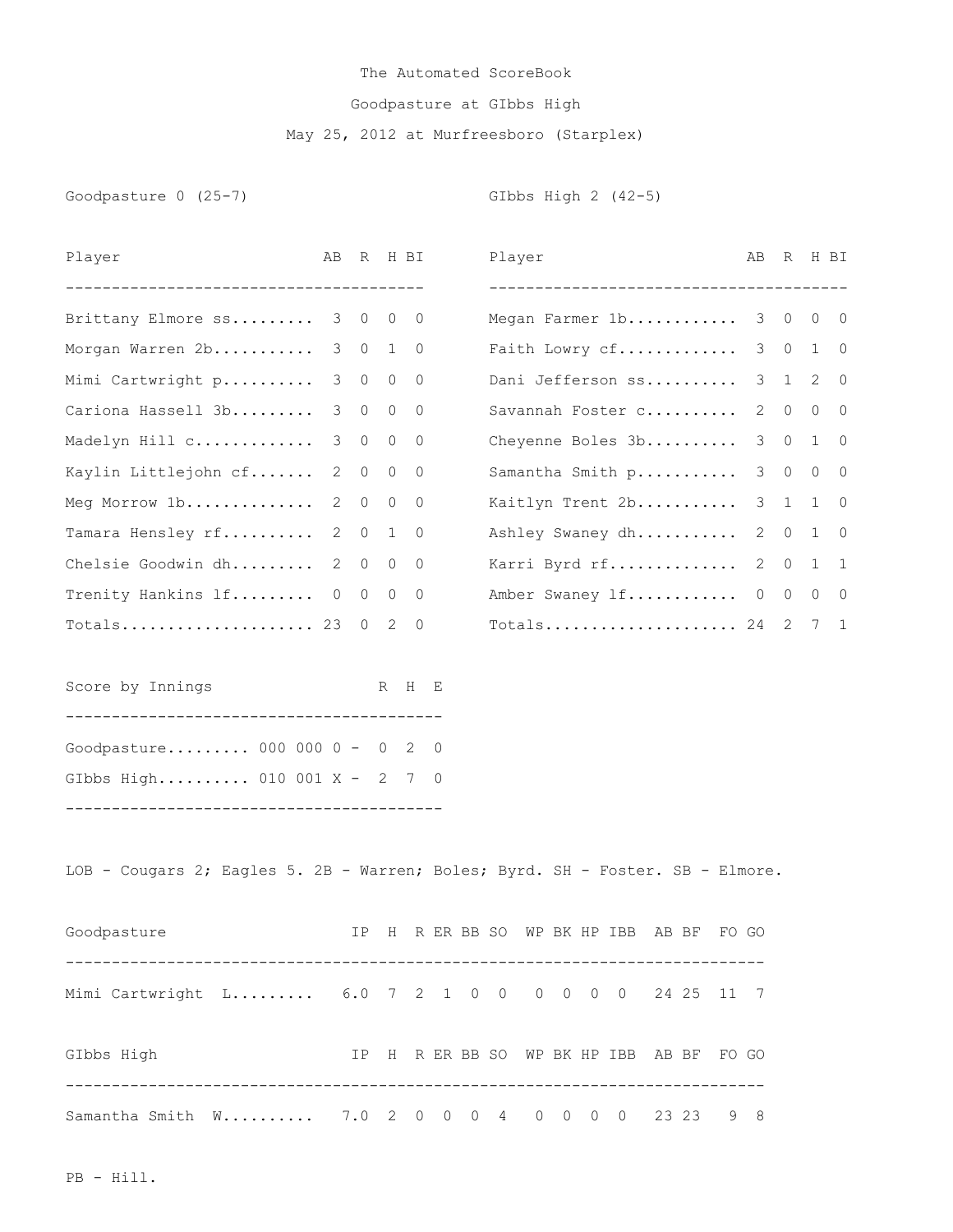## The Automated ScoreBook Goodpasture at GIbbs High May 25, 2012 at Murfreesboro (Starplex)

Goodpasture 0 (25-7) GIbbs High 2 (42-5)

| Player                                                                         | AB             | R              |              | H BI                     |            | Player |  |                                                               |       |       | AВ             | R       |                | H BI           |
|--------------------------------------------------------------------------------|----------------|----------------|--------------|--------------------------|------------|--------|--|---------------------------------------------------------------|-------|-------|----------------|---------|----------------|----------------|
| --------------------------------------<br>Brittany Elmore ss 3 0               |                |                | $\circ$      | $\overline{0}$           |            |        |  | --------------------------------------<br>Megan Farmer 1b 3 0 |       |       |                |         | 0              | $\overline{0}$ |
| Morgan Warren 2b                                                               |                |                |              | 3 0 1 0                  |            |        |  | Faith Lowry cf                                                |       |       |                | 3 0     |                | $1 \quad 0$    |
| Mimi Cartwright p                                                              | 3              | $\overline{0}$ | $\circ$      | $\overline{0}$           |            |        |  | Dani Jefferson ss                                             |       |       |                | 3 1     | 2              | 0              |
| Cariona Hassell 3b                                                             | 3              | $\circ$        | $\circ$      | $\overline{0}$           |            |        |  | Savannah Foster c                                             |       |       | 2              | $\circ$ | $\overline{0}$ | $\overline{0}$ |
| Madelyn Hill c                                                                 | 3              | $\circ$        | $\circ$      | $\overline{0}$           |            |        |  | Cheyenne Boles 3b                                             |       |       | 3 <sup>7</sup> | $\circ$ | 1              | 0              |
| Kaylin Littlejohn cf                                                           | 2              | $\circ$        | 0            | 0                        |            |        |  | Samantha Smith p                                              |       |       | 3              | $\circ$ | $\circ$        | $\circ$        |
| Meg Morrow $1b$                                                                | $\overline{2}$ | $\circ$        | $\circ$      | $\overline{\phantom{0}}$ |            |        |  | Kaitlyn Trent 2b                                              |       |       |                | 3 1     |                | $1 \quad 0$    |
| Tamara Hensley rf                                                              | 2              | $\circ$        | $\mathbf{1}$ | $\overline{0}$           |            |        |  | Ashley Swaney dh                                              |       |       | 2              | $\circ$ | 1              | $\overline{0}$ |
| Chelsie Goodwin dh                                                             | 2              | $\overline{0}$ | 0            | 0                        |            |        |  | Karri Byrd rf                                                 |       |       | 2              | $\circ$ | $\mathbf{1}$   | $\mathbf{1}$   |
| Trenity Hankins lf                                                             | $\circ$        | $\overline{0}$ | $\circ$      | $\overline{\phantom{0}}$ |            |        |  | Amber Swaney 1f 0 0 0 0                                       |       |       |                |         |                |                |
|                                                                                |                | $\overline{0}$ | 2            | $\overline{0}$           |            |        |  | Totals 24 2 7 1                                               |       |       |                |         |                |                |
| Score by Innings                                                               |                |                |              | R H E                    |            |        |  |                                                               |       |       |                |         |                |                |
| Goodpasture 000 000 0 - 0 2 0                                                  |                |                |              |                          |            |        |  |                                                               |       |       |                |         |                |                |
| GIbbs High 010 001 X - 2 7 0                                                   |                |                |              |                          |            |        |  |                                                               |       |       |                |         |                |                |
| LOB - Cougars 2; Eagles 5. 2B - Warren; Boles; Byrd. SH - Foster. SB - Elmore. |                |                |              |                          |            |        |  |                                                               |       |       |                |         |                |                |
| Goodpasture                                                                    |                | IP.            | H            |                          | R ER BB SO |        |  | WP BK HP IBB                                                  | AB BF | FO GO |                |         |                |                |
| Mimi Cartwright L 6.0 7 2 1 0 0 0 0 0 0 24 25 11 7                             |                |                |              |                          |            |        |  |                                                               |       |       |                |         |                |                |
| GIbbs High<br>IP H R ER BB SO WP BK HP IBB AB BF FO GO                         |                |                |              |                          |            |        |  |                                                               |       |       |                |         |                |                |
| Samantha Smith W 7.0 2 0 0 0 4 0 0 0 0 23 23 9 8                               |                |                |              |                          |            |        |  |                                                               |       |       |                |         |                |                |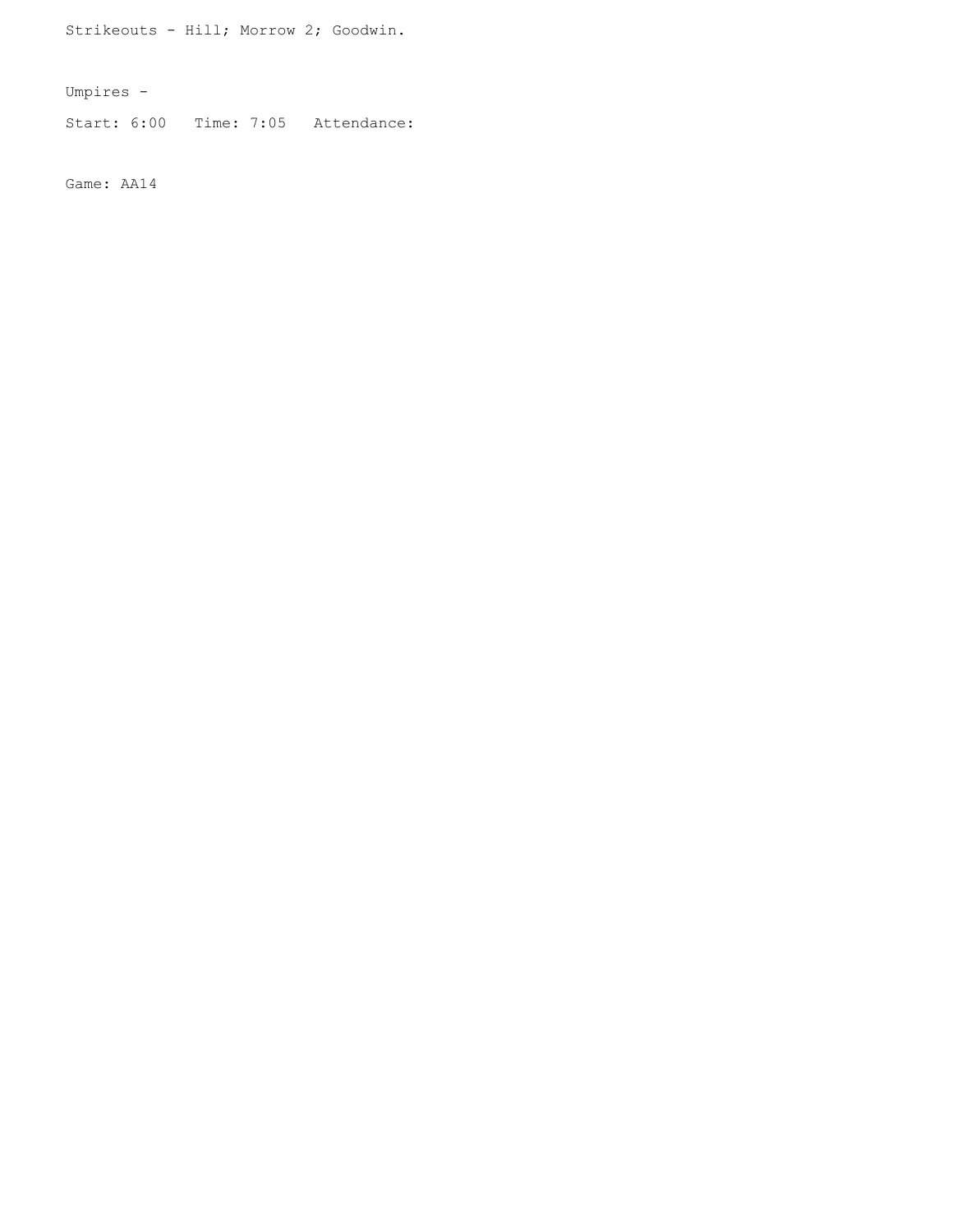Strikeouts - Hill; Morrow 2; Goodwin.

Umpires -

Start: 6:00 Time: 7:05 Attendance:

Game: AA14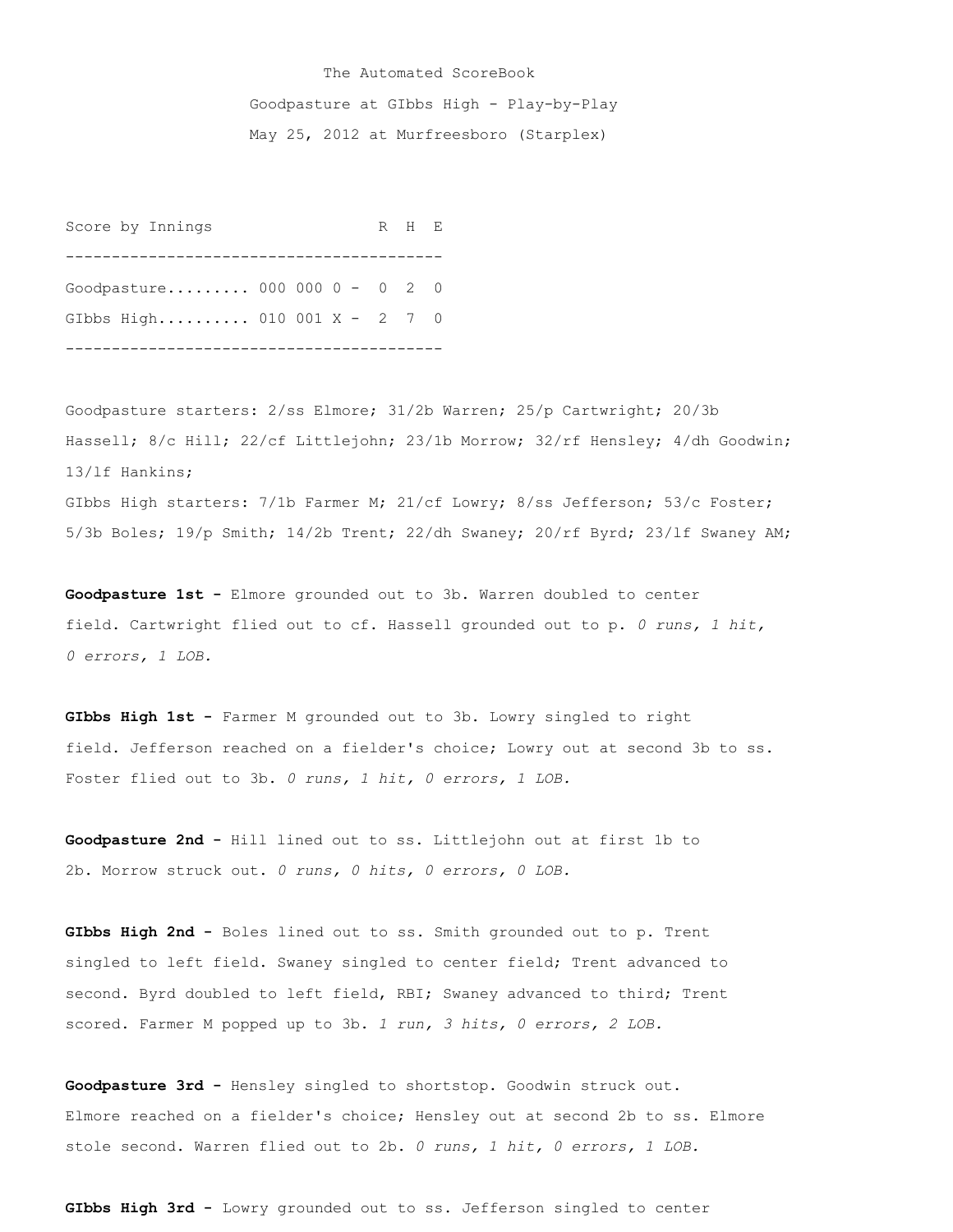## The Automated ScoreBook Goodpasture at GIbbs High - Play-by-Play May 25, 2012 at Murfreesboro (Starplex)

Score by Innings R H E ----------------------------------------- Goodpasture......... 000 000 0 - 0 2 0 GIbbs High.......... 010 001 X - 2 7 0 -----------------------------------------

Goodpasture starters: 2/ss Elmore; 31/2b Warren; 25/p Cartwright; 20/3b Hassell; 8/c Hill; 22/cf Littlejohn; 23/1b Morrow; 32/rf Hensley; 4/dh Goodwin; 13/lf Hankins; GIbbs High starters: 7/1b Farmer M; 21/cf Lowry; 8/ss Jefferson; 53/c Foster; 5/3b Boles; 19/p Smith; 14/2b Trent; 22/dh Swaney; 20/rf Byrd; 23/lf Swaney AM;

**Goodpasture 1st -** Elmore grounded out to 3b. Warren doubled to center field. Cartwright flied out to cf. Hassell grounded out to p. *0 runs, 1 hit, 0 errors, 1 LOB.*

**GIbbs High 1st -** Farmer M grounded out to 3b. Lowry singled to right field. Jefferson reached on a fielder's choice; Lowry out at second 3b to ss. Foster flied out to 3b. *0 runs, 1 hit, 0 errors, 1 LOB.*

**Goodpasture 2nd -** Hill lined out to ss. Littlejohn out at first 1b to 2b. Morrow struck out. *0 runs, 0 hits, 0 errors, 0 LOB.*

**GIbbs High 2nd -** Boles lined out to ss. Smith grounded out to p. Trent singled to left field. Swaney singled to center field; Trent advanced to second. Byrd doubled to left field, RBI; Swaney advanced to third; Trent scored. Farmer M popped up to 3b. *1 run, 3 hits, 0 errors, 2 LOB.*

**Goodpasture 3rd -** Hensley singled to shortstop. Goodwin struck out. Elmore reached on a fielder's choice; Hensley out at second 2b to ss. Elmore stole second. Warren flied out to 2b. *0 runs, 1 hit, 0 errors, 1 LOB.*

**GIbbs High 3rd -** Lowry grounded out to ss. Jefferson singled to center